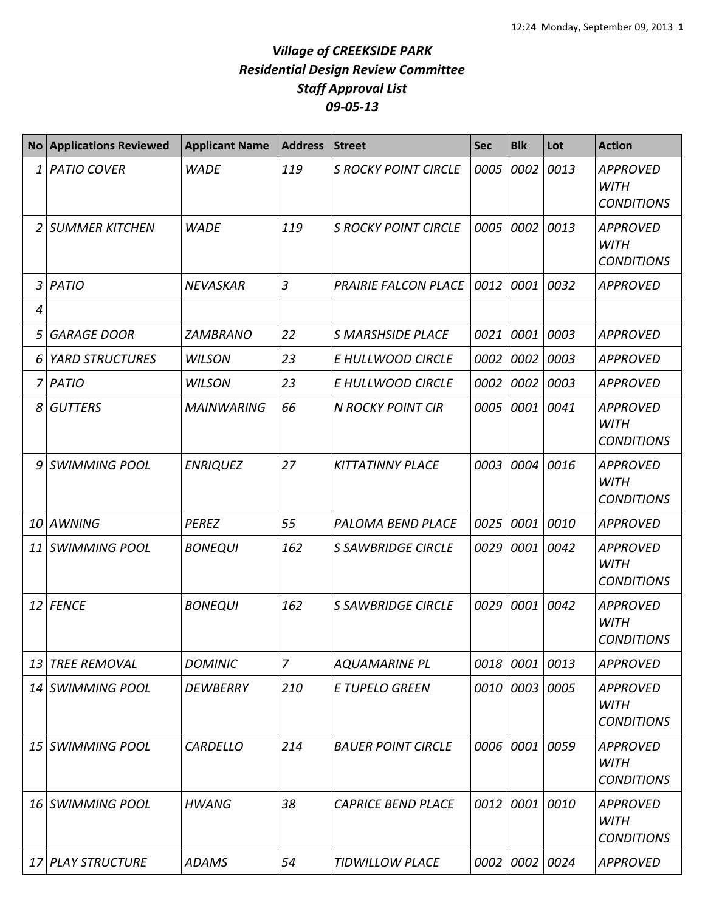## *Village of CREEKSIDE PARK Residential Design Review Committee Staff Approval List 09-05-13*

| <b>No</b> | <b>Applications Reviewed</b> | <b>Applicant Name</b> | <b>Address</b> | <b>Street</b>               | <b>Sec</b> | <b>Blk</b> | Lot  | <b>Action</b>                                       |
|-----------|------------------------------|-----------------------|----------------|-----------------------------|------------|------------|------|-----------------------------------------------------|
| 1         | <b>PATIO COVER</b>           | <b>WADE</b>           | 119            | <b>S ROCKY POINT CIRCLE</b> | 0005       | 0002       | 0013 | <b>APPROVED</b><br><b>WITH</b><br><b>CONDITIONS</b> |
| 2         | <b>SUMMER KITCHEN</b>        | <b>WADE</b>           | 119            | <b>S ROCKY POINT CIRCLE</b> | 0005       | 0002       | 0013 | <b>APPROVED</b><br><b>WITH</b><br><b>CONDITIONS</b> |
| 3         | <b>PATIO</b>                 | <b>NEVASKAR</b>       | $\overline{3}$ | <b>PRAIRIE FALCON PLACE</b> | 0012       | 0001       | 0032 | <b>APPROVED</b>                                     |
| 4         |                              |                       |                |                             |            |            |      |                                                     |
| 5         | <b>GARAGE DOOR</b>           | <b>ZAMBRANO</b>       | 22             | <b>S MARSHSIDE PLACE</b>    | 0021       | 0001       | 0003 | <b>APPROVED</b>                                     |
| 6         | <b>YARD STRUCTURES</b>       | <b>WILSON</b>         | 23             | E HULLWOOD CIRCLE           | 0002       | 0002       | 0003 | <b>APPROVED</b>                                     |
| 7         | <b>PATIO</b>                 | <b>WILSON</b>         | 23             | E HULLWOOD CIRCLE           | 0002       | 0002       | 0003 | <b>APPROVED</b>                                     |
| 8         | <b>GUTTERS</b>               | <b>MAINWARING</b>     | 66             | <b>N ROCKY POINT CIR</b>    | 0005       | 0001       | 0041 | <b>APPROVED</b><br><b>WITH</b><br><b>CONDITIONS</b> |
| 9         | <b>SWIMMING POOL</b>         | <b>ENRIQUEZ</b>       | 27             | <b>KITTATINNY PLACE</b>     | 0003       | 0004       | 0016 | <b>APPROVED</b><br><b>WITH</b><br><b>CONDITIONS</b> |
| 10        | <b>AWNING</b>                | <b>PEREZ</b>          | 55             | PALOMA BEND PLACE           | 0025       | 0001       | 0010 | <b>APPROVED</b>                                     |
| 11        | <b>SWIMMING POOL</b>         | <b>BONEQUI</b>        | 162            | <b>S SAWBRIDGE CIRCLE</b>   | 0029       | 0001       | 0042 | <b>APPROVED</b><br><b>WITH</b><br><b>CONDITIONS</b> |
| 12        | <b>FENCE</b>                 | <b>BONEQUI</b>        | 162            | <b>S SAWBRIDGE CIRCLE</b>   | 0029       | 0001       | 0042 | <b>APPROVED</b><br><b>WITH</b><br><b>CONDITIONS</b> |
| 13        | <b>TREE REMOVAL</b>          | <b>DOMINIC</b>        | $\overline{7}$ | <b>AQUAMARINE PL</b>        |            | 0018 0001  | 0013 | <b>APPROVED</b>                                     |
| 14        | <b>SWIMMING POOL</b>         | <b>DEWBERRY</b>       | 210            | <b>E TUPELO GREEN</b>       | 0010       | 0003       | 0005 | <b>APPROVED</b><br><b>WITH</b><br><b>CONDITIONS</b> |
|           | 15 SWIMMING POOL             | <b>CARDELLO</b>       | 214            | <b>BAUER POINT CIRCLE</b>   |            | 0006 0001  | 0059 | <b>APPROVED</b><br>WITH<br><b>CONDITIONS</b>        |
| 16        | <b>SWIMMING POOL</b>         | <b>HWANG</b>          | 38             | <b>CAPRICE BEND PLACE</b>   |            | 0012 0001  | 0010 | <b>APPROVED</b><br><b>WITH</b><br><b>CONDITIONS</b> |
| 17        | <b>PLAY STRUCTURE</b>        | <b>ADAMS</b>          | 54             | <b>TIDWILLOW PLACE</b>      |            | 0002 0002  | 0024 | <b>APPROVED</b>                                     |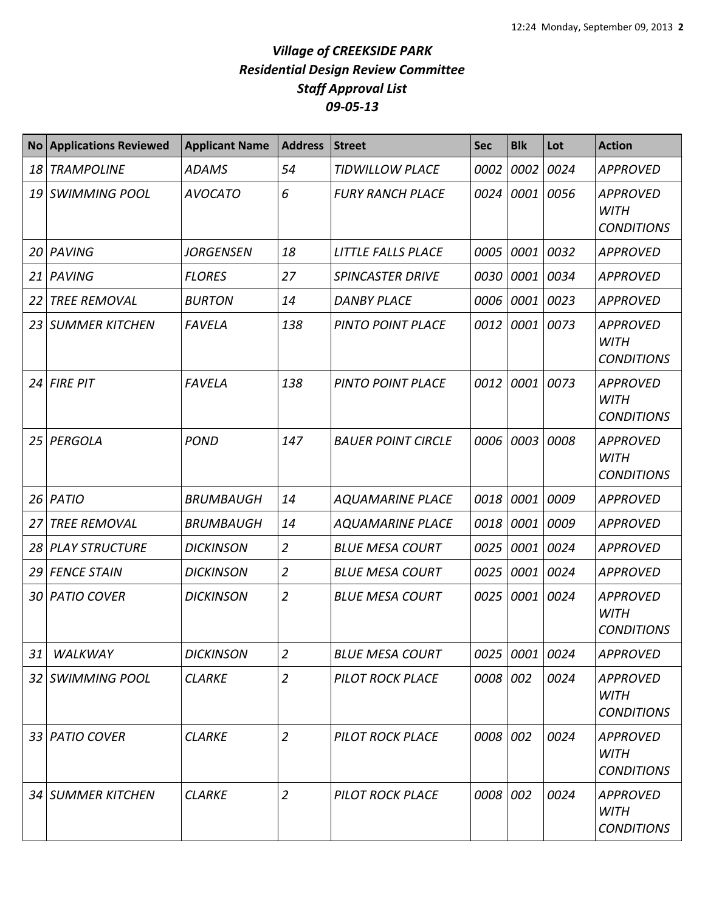## *Village of CREEKSIDE PARK Residential Design Review Committee Staff Approval List 09-05-13*

|    | <b>No Applications Reviewed</b> | <b>Applicant Name</b> | <b>Address</b> | <b>Street</b>             | <b>Sec</b> | <b>Blk</b>     | Lot  | <b>Action</b>                                       |
|----|---------------------------------|-----------------------|----------------|---------------------------|------------|----------------|------|-----------------------------------------------------|
| 18 | <b>TRAMPOLINE</b>               | <b>ADAMS</b>          | 54             | <b>TIDWILLOW PLACE</b>    | 0002       | 0002           | 0024 | <b>APPROVED</b>                                     |
|    | 19 SWIMMING POOL                | <b>AVOCATO</b>        | 6              | <b>FURY RANCH PLACE</b>   | 0024       | 0001           | 0056 | <b>APPROVED</b><br><b>WITH</b><br><b>CONDITIONS</b> |
| 20 | PAVING                          | JORGENSEN             | 18             | LITTLE FALLS PLACE        | 0005       | 0001           | 0032 | <b>APPROVED</b>                                     |
| 21 | PAVING                          | <b>FLORES</b>         | 27             | <b>SPINCASTER DRIVE</b>   | 0030       | 0001           | 0034 | <b>APPROVED</b>                                     |
| 22 | <b>TREE REMOVAL</b>             | <b>BURTON</b>         | 14             | <b>DANBY PLACE</b>        | 0006       | 0001           | 0023 | <b>APPROVED</b>                                     |
| 23 | SUMMER KITCHEN                  | <b>FAVELA</b>         | 138            | <b>PINTO POINT PLACE</b>  | 0012       | 0001           | 0073 | <b>APPROVED</b><br><b>WITH</b><br><b>CONDITIONS</b> |
| 24 | <b>FIRE PIT</b>                 | <b>FAVELA</b>         | 138            | <b>PINTO POINT PLACE</b>  | 0012       | 0001           | 0073 | <b>APPROVED</b><br><b>WITH</b><br><b>CONDITIONS</b> |
| 25 | PERGOLA                         | <b>POND</b>           | 147            | <b>BAUER POINT CIRCLE</b> | 0006       | 0003           | 0008 | <b>APPROVED</b><br><b>WITH</b><br><b>CONDITIONS</b> |
|    | 26 <i>PATIO</i>                 | <b>BRUMBAUGH</b>      | 14             | <b>AQUAMARINE PLACE</b>   | 0018       | 0001           | 0009 | <b>APPROVED</b>                                     |
| 27 | <b>TREE REMOVAL</b>             | <b>BRUMBAUGH</b>      | 14             | <b>AQUAMARINE PLACE</b>   | 0018       | 0001           | 0009 | <b>APPROVED</b>                                     |
| 28 | <b>PLAY STRUCTURE</b>           | <b>DICKINSON</b>      | $\overline{2}$ | <b>BLUE MESA COURT</b>    | 0025       | 0001           | 0024 | <b>APPROVED</b>                                     |
| 29 | <b>FENCE STAIN</b>              | <b>DICKINSON</b>      | $\overline{2}$ | <b>BLUE MESA COURT</b>    | 0025       | 0001           | 0024 | <b>APPROVED</b>                                     |
|    | 30 PATIO COVER                  | <b>DICKINSON</b>      | $\overline{2}$ | <b>BLUE MESA COURT</b>    | 0025       | 0001           | 0024 | <b>APPROVED</b><br><b>WITH</b><br><b>CONDITIONS</b> |
| 31 | WALKWAY                         | <b>DICKINSON</b>      | $\overline{2}$ | <b>BLUE MESA COURT</b>    |            | 0025 0001 0024 |      | <b>APPROVED</b>                                     |
|    | 32 SWIMMING POOL                | <b>CLARKE</b>         | $\overline{2}$ | <b>PILOT ROCK PLACE</b>   | 0008 002   |                | 0024 | <b>APPROVED</b><br><b>WITH</b><br><b>CONDITIONS</b> |
|    | 33 PATIO COVER                  | <b>CLARKE</b>         | $\overline{2}$ | PILOT ROCK PLACE          | 0008 002   |                | 0024 | <b>APPROVED</b><br><b>WITH</b><br><b>CONDITIONS</b> |
|    | 34 SUMMER KITCHEN               | <b>CLARKE</b>         | $\overline{2}$ | <b>PILOT ROCK PLACE</b>   | 0008 002   |                | 0024 | <b>APPROVED</b><br><b>WITH</b><br><b>CONDITIONS</b> |